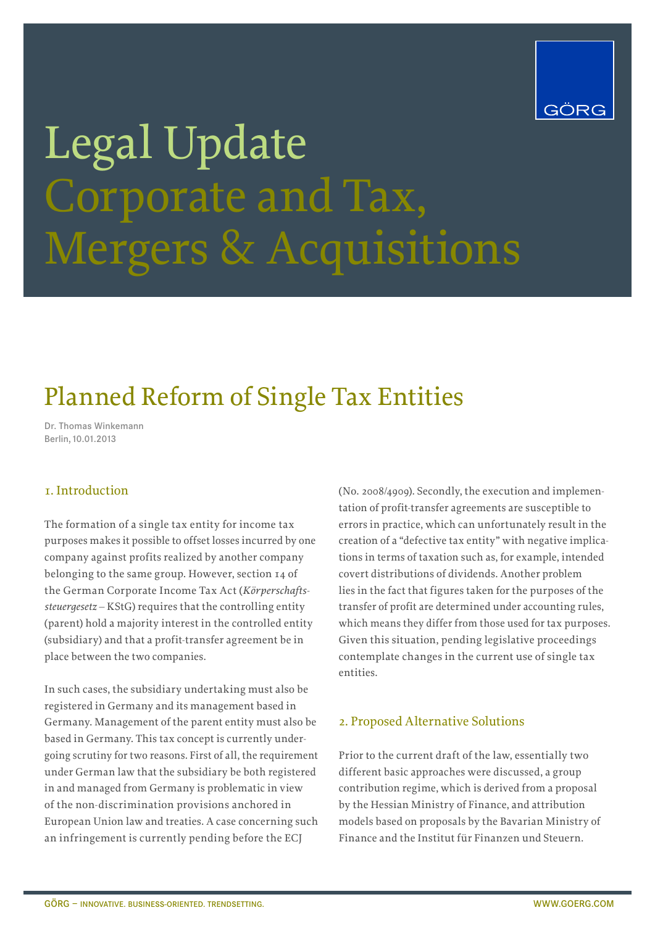

# Legal Update Corporate and Tax, Mergers & Acquisitions

# Planned Reform of Single Tax Entities

Dr. Thomas Winkemann Berlin, 10.01.2013

### 1. Introduction

The formation of a single tax entity for income tax purposes makes it possible to offset losses incurred by one company against profits realized by another company belonging to the same group. However, section 14 of the German Corporate Income Tax Act (*Körperschaftssteuergesetz* – KStG) requires that the controlling entity (parent) hold a majority interest in the controlled entity (subsidiary) and that a profit-transfer agreement be in place between the two companies.

In such cases, the subsidiary undertaking must also be registered in Germany and its management based in Germany. Management of the parent entity must also be based in Germany. This tax concept is currently undergoing scrutiny for two reasons. First of all, the requirement under German law that the subsidiary be both registered in and managed from Germany is problematic in view of the non-discrimination provisions anchored in European Union law and treaties. A case concerning such an infringement is currently pending before the ECJ

(No. 2008/4909). Secondly, the execution and implementation of profit-transfer agreements are susceptible to errors in practice, which can unfortunately result in the creation of a "defective tax entity" with negative implications in terms of taxation such as, for example, intended covert distributions of dividends. Another problem lies in the fact that figures taken for the purposes of the transfer of profit are determined under accounting rules, which means they differ from those used for tax purposes. Given this situation, pending legislative proceedings contemplate changes in the current use of single tax entities.

### 2. Proposed Alternative Solutions

Prior to the current draft of the law, essentially two different basic approaches were discussed, a group contribution regime, which is derived from a proposal by the Hessian Ministry of Finance, and attribution models based on proposals by the Bavarian Ministry of Finance and the Institut für Finanzen und Steuern.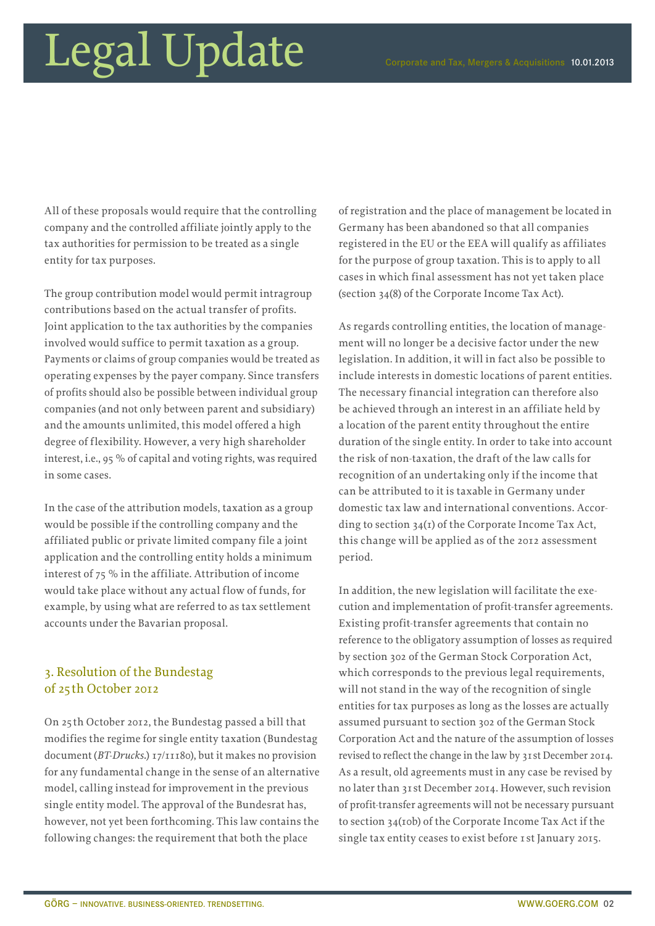# Legal Update Corporate and Tax, Mergers & Acquisitions 10.01.2013

All of these proposals would require that the controlling company and the controlled affiliate jointly apply to the tax authorities for permission to be treated as a single entity for tax purposes.

The group contribution model would permit intragroup contributions based on the actual transfer of profits. Joint application to the tax authorities by the companies involved would suffice to permit taxation as a group. Payments or claims of group companies would be treated as operating expenses by the payer company. Since transfers of profits should also be possible between individual group companies (and not only between parent and subsidiary) and the amounts unlimited, this model offered a high degree of flexibility. However, a very high shareholder interest, i.e., 95 % of capital and voting rights, was required in some cases.

In the case of the attribution models, taxation as a group would be possible if the controlling company and the affiliated public or private limited company file a joint application and the controlling entity holds a minimum interest of 75 % in the affiliate. Attribution of income would take place without any actual flow of funds, for example, by using what are referred to as tax settlement accounts under the Bavarian proposal.

## 3. Resolution of the Bundestag of 25th October 2012

On 25th October 2012, the Bundestag passed a bill that modifies the regime for single entity taxation (Bundestag document (*BT-Drucks.*) 17/11180), but it makes no provision for any fundamental change in the sense of an alternative model, calling instead for improvement in the previous single entity model. The approval of the Bundesrat has, however, not yet been forthcoming. This law contains the following changes: the requirement that both the place

of registration and the place of management be located in Germany has been abandoned so that all companies registered in the EU or the EEA will qualify as affiliates for the purpose of group taxation. This is to apply to all cases in which final assessment has not yet taken place (section 34(8) of the Corporate Income Tax Act).

As regards controlling entities, the location of management will no longer be a decisive factor under the new legislation. In addition, it will in fact also be possible to include interests in domestic locations of parent entities. The necessary financial integration can therefore also be achieved through an interest in an affiliate held by a location of the parent entity throughout the entire duration of the single entity. In order to take into account the risk of non-taxation, the draft of the law calls for recognition of an undertaking only if the income that can be attributed to it is taxable in Germany under domestic tax law and international conventions. According to section 34(1) of the Corporate Income Tax Act, this change will be applied as of the 2012 assessment period.

In addition, the new legislation will facilitate the execution and implementation of profit-transfer agreements. Existing profit-transfer agreements that contain no reference to the obligatory assumption of losses as required by section 302 of the German Stock Corporation Act, which corresponds to the previous legal requirements, will not stand in the way of the recognition of single entities for tax purposes as long as the losses are actually assumed pursuant to section 302 of the German Stock Corporation Act and the nature of the assumption of losses revised to reflect the change in the law by 31st December 2014. As a result, old agreements must in any case be revised by no later than 31st December 2014. However, such revision of profit-transfer agreements will not be necessary pursuant to section 34(10b) of the Corporate Income Tax Act if the single tax entity ceases to exist before 1st January 2015.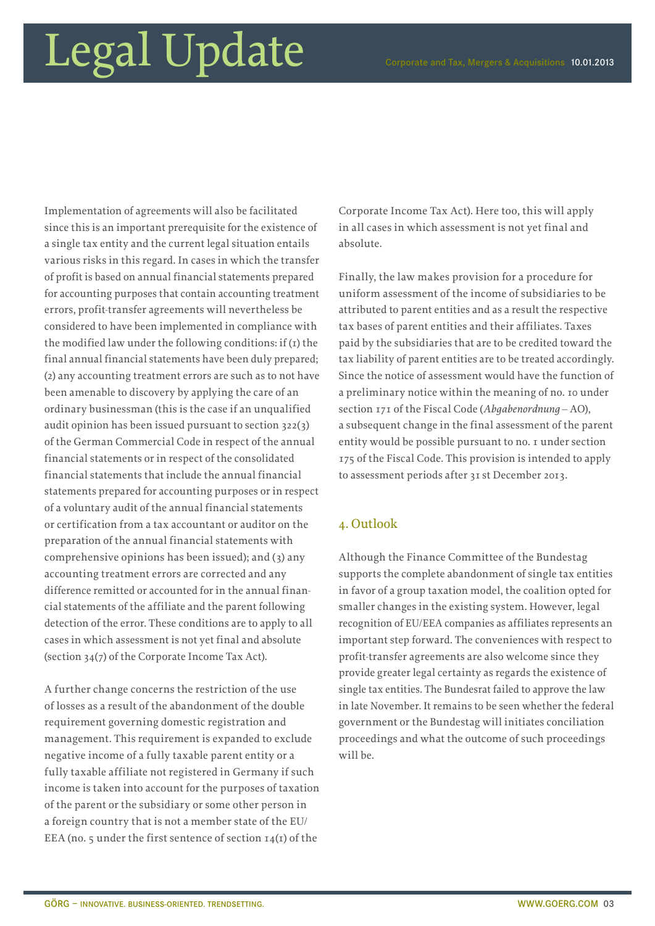# Legal Update Corporate and Tax, Mergers & Acquisitions 10.01.2013

Implementation of agreements will also be facilitated since this is an important prerequisite for the existence of a single tax entity and the current legal situation entails various risks in this regard. In cases in which the transfer of profit is based on annual financial statements prepared for accounting purposes that contain accounting treatment errors, profit-transfer agreements will nevertheless be considered to have been implemented in compliance with the modified law under the following conditions: if  $(r)$  the final annual financial statements have been duly prepared; (2) any accounting treatment errors are such as to not have been amenable to discovery by applying the care of an ordinary businessman (this is the case if an unqualified audit opinion has been issued pursuant to section 322(3) of the German Commercial Code in respect of the annual financial statements or in respect of the consolidated financial statements that include the annual financial statements prepared for accounting purposes or in respect of a voluntary audit of the annual financial statements or certification from a tax accountant or auditor on the preparation of the annual financial statements with comprehensive opinions has been issued); and (3) any accounting treatment errors are corrected and any difference remitted or accounted for in the annual financial statements of the affiliate and the parent following detection of the error. These conditions are to apply to all cases in which assessment is not yet final and absolute (section 34(7) of the Corporate Income Tax Act).

A further change concerns the restriction of the use of losses as a result of the abandonment of the double requirement governing domestic registration and management. This requirement is expanded to exclude negative income of a fully taxable parent entity or a fully taxable affiliate not registered in Germany if such income is taken into account for the purposes of taxation of the parent or the subsidiary or some other person in a foreign country that is not a member state of the EU/ EEA (no. 5 under the first sentence of section  $I_4(I)$  of the

Corporate Income Tax Act). Here too, this will apply in all cases in which assessment is not yet final and absolute.

Finally, the law makes provision for a procedure for uniform assessment of the income of subsidiaries to be attributed to parent entities and as a result the respective tax bases of parent entities and their affiliates. Taxes paid by the subsidiaries that are to be credited toward the tax liability of parent entities are to be treated accordingly. Since the notice of assessment would have the function of a preliminary notice within the meaning of no. 10 under section 171 of the Fiscal Code (*Abgabenordnung* – AO), a subsequent change in the final assessment of the parent entity would be possible pursuant to no. 1 under section 175 of the Fiscal Code. This provision is intended to apply to assessment periods after 31 st December 2013.

### 4. Outlook

Although the Finance Committee of the Bundestag supports the complete abandonment of single tax entities in favor of a group taxation model, the coalition opted for smaller changes in the existing system. However, legal recognition of EU/EEA companies as affiliates represents an important step forward. The conveniences with respect to profit-transfer agreements are also welcome since they provide greater legal certainty as regards the existence of single tax entities. The Bundesrat failed to approve the law in late November. It remains to be seen whether the federal government or the Bundestag will initiates conciliation proceedings and what the outcome of such proceedings will be.